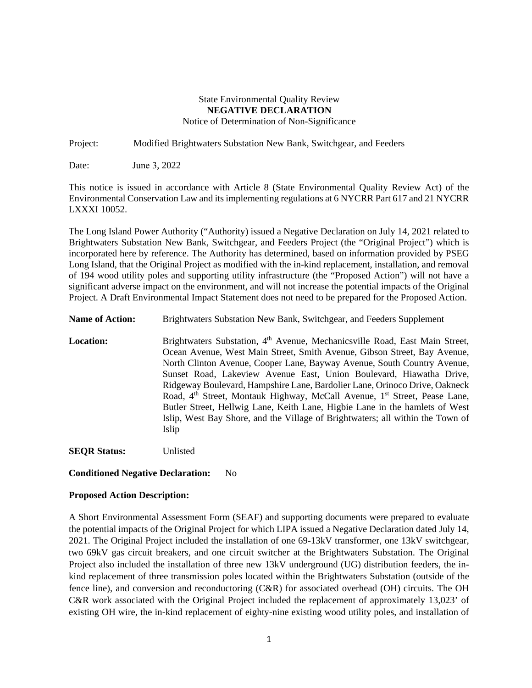## State Environmental Quality Review **NEGATIVE DECLARATION**  Notice of Determination of Non-Significance

Project: Modified Brightwaters Substation New Bank, Switchgear, and Feeders

Date: June 3, 2022

This notice is issued in accordance with Article 8 (State Environmental Quality Review Act) of the Environmental Conservation Law and its implementing regulations at 6 NYCRR Part 617 and 21 NYCRR LXXXI 10052.

The Long Island Power Authority ("Authority) issued a Negative Declaration on July 14, 2021 related to Brightwaters Substation New Bank, Switchgear, and Feeders Project (the "Original Project") which is incorporated here by reference. The Authority has determined, based on information provided by PSEG Long Island, that the Original Project as modified with the in-kind replacement, installation, and removal of 194 wood utility poles and supporting utility infrastructure (the "Proposed Action") will not have a significant adverse impact on the environment, and will not increase the potential impacts of the Original Project. A Draft Environmental Impact Statement does not need to be prepared for the Proposed Action.

#### Name of Action: Brightwaters Substation New Bank, Switchgear, and Feeders Supplement

**Location:** Brightwaters Substation, 4<sup>th</sup> Avenue, Mechanicsville Road, East Main Street, Ocean Avenue, West Main Street, Smith Avenue, Gibson Street, Bay Avenue, North Clinton Avenue, Cooper Lane, Bayway Avenue, South Country Avenue, Sunset Road, Lakeview Avenue East, Union Boulevard, Hiawatha Drive, Ridgeway Boulevard, Hampshire Lane, Bardolier Lane, Orinoco Drive, Oakneck Road,  $4<sup>th</sup>$  Street, Montauk Highway, McCall Avenue,  $1<sup>st</sup>$  Street, Pease Lane, Butler Street, Hellwig Lane, Keith Lane, Higbie Lane in the hamlets of West Islip, West Bay Shore, and the Village of Brightwaters; all within the Town of Islip

**SEQR Status:** Unlisted

#### **Conditioned Negative Declaration:** No

#### **Proposed Action Description:**

A Short Environmental Assessment Form (SEAF) and supporting documents were prepared to evaluate the potential impacts of the Original Project for which LIPA issued a Negative Declaration dated July 14, 2021. The Original Project included the installation of one 69-13kV transformer, one 13kV switchgear, two 69kV gas circuit breakers, and one circuit switcher at the Brightwaters Substation. The Original Project also included the installation of three new 13kV underground (UG) distribution feeders, the inkind replacement of three transmission poles located within the Brightwaters Substation (outside of the fence line), and conversion and reconductoring (C&R) for associated overhead (OH) circuits. The OH C&R work associated with the Original Project included the replacement of approximately 13,023' of existing OH wire, the in-kind replacement of eighty-nine existing wood utility poles, and installation of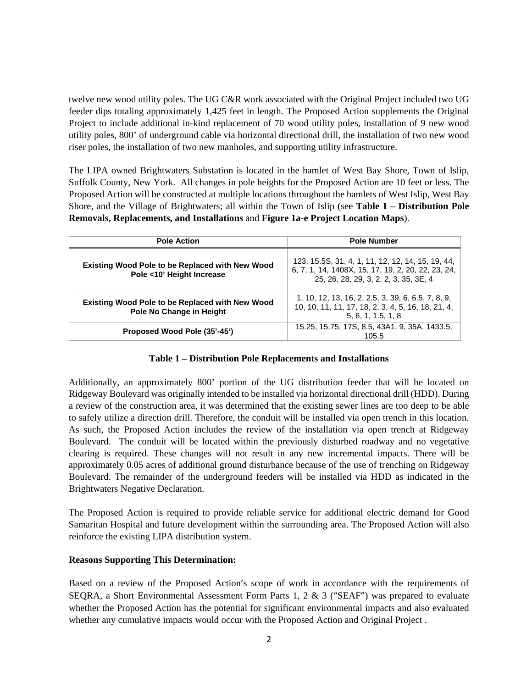twelve new wood utility poles. The UG C&R work associated with the Original Project included two UG feeder dips totaling approximately 1,425 feet in length. The Proposed Action supplements the Original Project to include additional in-kind replacement of 70 wood utility poles, installation of 9 new wood utility poles, 800' of underground cable via horizontal directional drill, the installation of two new wood riser poles, the installation of two new manholes, and supporting utility infrastructure.

The LIPA owned Brightwaters Substation is located in the hamlet of West Bay Shore, Town of Islip, Suffolk County, New York. All changes in pole heights for the Proposed Action are 10 feet or less. The Proposed Action will be constructed at multiple locations throughout the hamlets of West Islip, West Bay Shore, and the Village of Brightwaters; all within the Town of Islip (see **Table 1 – Distribution Pole Removals, Replacements, and Installations** and **Figure 1a-e Project Location Maps**).

| <b>Pole Action</b>                                                                  | <b>Pole Number</b>                                                                                                                               |
|-------------------------------------------------------------------------------------|--------------------------------------------------------------------------------------------------------------------------------------------------|
| <b>Existing Wood Pole to be Replaced with New Wood</b><br>Pole <10' Height Increase | 123, 15.5S, 31, 4, 1, 11, 12, 12, 14, 15, 19, 44,<br>6, 7, 1, 14, 1408X, 15, 17, 19, 2, 20, 22, 23, 24,<br>25, 26, 28, 29, 3, 2, 2, 3, 35, 3E, 4 |
| Existing Wood Pole to be Replaced with New Wood<br>Pole No Change in Height         | 1, 10, 12, 13, 16, 2, 2.5, 3, 39, 6, 6.5, 7, 8, 9,<br>10, 10, 11, 11, 17, 18, 2, 3, 4, 5, 16, 18, 21, 4,<br>5, 6, 1, 1.5, 1, 8                   |
| Proposed Wood Pole (35'-45')                                                        | 15.25, 15.75, 17S, 8.5, 43A1, 9, 35A, 1433.5,<br>105.5                                                                                           |

# **Table 1 – Distribution Pole Replacements and Installations**

Additionally, an approximately 800' portion of the UG distribution feeder that will be located on Ridgeway Boulevard was originally intended to be installed via horizontal directional drill (HDD). During a review of the construction area, it was determined that the existing sewer lines are too deep to be able to safely utilize a direction drill. Therefore, the conduit will be installed via open trench in this location. As such, the Proposed Action includes the review of the installation via open trench at Ridgeway Boulevard. The conduit will be located within the previously disturbed roadway and no vegetative clearing is required. These changes will not result in any new incremental impacts. There will be approximately 0.05 acres of additional ground disturbance because of the use of trenching on Ridgeway Boulevard. The remainder of the underground feeders will be installed via HDD as indicated in the Brightwaters Negative Declaration.

The Proposed Action is required to provide reliable service for additional electric demand for Good Samaritan Hospital and future development within the surrounding area. The Proposed Action will also reinforce the existing LIPA distribution system.

#### **Reasons Supporting This Determination:**

Based on a review of the Proposed Action's scope of work in accordance with the requirements of SEQRA, a Short Environmental Assessment Form Parts 1, 2  $\&$  3 ("SEAF") was prepared to evaluate whether the Proposed Action has the potential for significant environmental impacts and also evaluated whether any cumulative impacts would occur with the Proposed Action and Original Project .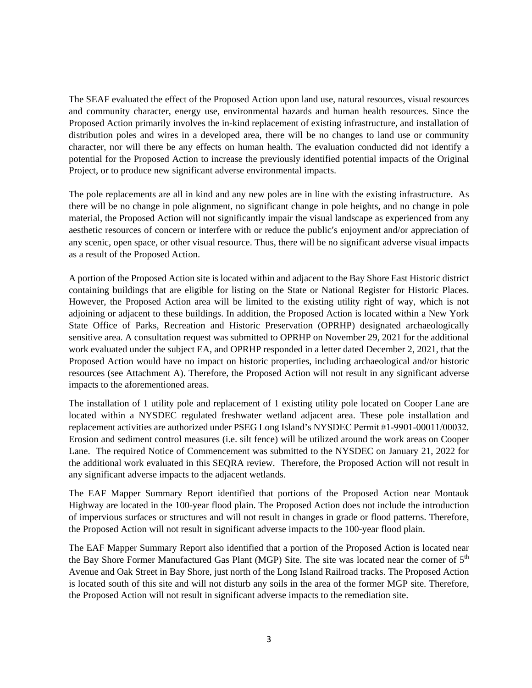The SEAF evaluated the effect of the Proposed Action upon land use, natural resources, visual resources and community character, energy use, environmental hazards and human health resources. Since the Proposed Action primarily involves the in-kind replacement of existing infrastructure, and installation of distribution poles and wires in a developed area, there will be no changes to land use or community character, nor will there be any effects on human health. The evaluation conducted did not identify a potential for the Proposed Action to increase the previously identified potential impacts of the Original Project, or to produce new significant adverse environmental impacts.

The pole replacements are all in kind and any new poles are in line with the existing infrastructure. As there will be no change in pole alignment, no significant change in pole heights, and no change in pole material, the Proposed Action will not significantly impair the visual landscape as experienced from any aesthetic resources of concern or interfere with or reduce the public's enjoyment and/or appreciation of any scenic, open space, or other visual resource. Thus, there will be no significant adverse visual impacts as a result of the Proposed Action.

A portion of the Proposed Action site is located within and adjacent to the Bay Shore East Historic district containing buildings that are eligible for listing on the State or National Register for Historic Places. However, the Proposed Action area will be limited to the existing utility right of way, which is not adjoining or adjacent to these buildings. In addition, the Proposed Action is located within a New York State Office of Parks, Recreation and Historic Preservation (OPRHP) designated archaeologically sensitive area. A consultation request was submitted to OPRHP on November 29, 2021 for the additional work evaluated under the subject EA, and OPRHP responded in a letter dated December 2, 2021, that the Proposed Action would have no impact on historic properties, including archaeological and/or historic resources (see Attachment A). Therefore, the Proposed Action will not result in any significant adverse impacts to the aforementioned areas.

The installation of 1 utility pole and replacement of 1 existing utility pole located on Cooper Lane are located within a NYSDEC regulated freshwater wetland adjacent area. These pole installation and replacement activities are authorized under PSEG Long Island's NYSDEC Permit #1‐9901‐00011/00032. Erosion and sediment control measures (i.e. silt fence) will be utilized around the work areas on Cooper Lane. The required Notice of Commencement was submitted to the NYSDEC on January 21, 2022 for the additional work evaluated in this SEQRA review. Therefore, the Proposed Action will not result in any significant adverse impacts to the adjacent wetlands.

The EAF Mapper Summary Report identified that portions of the Proposed Action near Montauk Highway are located in the 100-year flood plain. The Proposed Action does not include the introduction of impervious surfaces or structures and will not result in changes in grade or flood patterns. Therefore, the Proposed Action will not result in significant adverse impacts to the 100-year flood plain.

The EAF Mapper Summary Report also identified that a portion of the Proposed Action is located near the Bay Shore Former Manufactured Gas Plant (MGP) Site. The site was located near the corner of  $5<sup>th</sup>$ Avenue and Oak Street in Bay Shore, just north of the Long Island Railroad tracks. The Proposed Action is located south of this site and will not disturb any soils in the area of the former MGP site. Therefore, the Proposed Action will not result in significant adverse impacts to the remediation site.